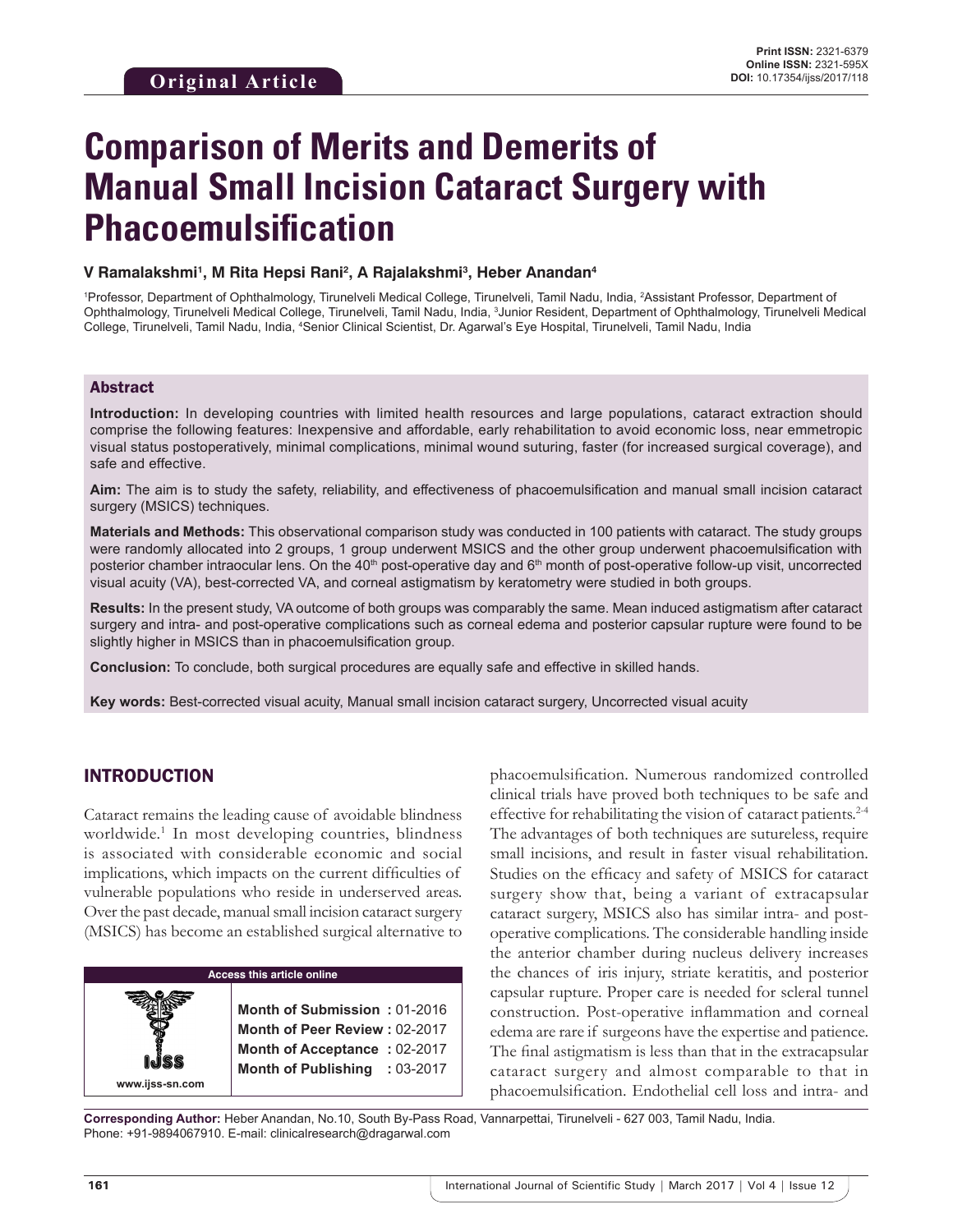# **Comparison of Merits and Demerits of Manual Small Incision Cataract Surgery with Phacoemulsification**

#### **V Ramalakshmi1 , M Rita Hepsi Rani2 , A Rajalakshmi3 , Heber Anandan4**

<sup>1</sup>Professor, Department of Ophthalmology, Tirunelveli Medical College, Tirunelveli, Tamil Nadu, India, <sup>2</sup>Assistant Professor, Department of Ophthalmology, Tirunelveli Medical College, Tirunelveli, Tamil Nadu, India, <sup>3</sup>Junior Resident, Department of Ophthalmology, Tirunelveli Medical College, Tirunelveli, Tamil Nadu, India, <sup>4</sup>Senior Clinical Scientist, Dr. Agarwal's Eye Hospital, Tirunelveli, Tamil Nadu, India

## Abstract

**Introduction:** In developing countries with limited health resources and large populations, cataract extraction should comprise the following features: Inexpensive and affordable, early rehabilitation to avoid economic loss, near emmetropic visual status postoperatively, minimal complications, minimal wound suturing, faster (for increased surgical coverage), and safe and effective.

**Aim:** The aim is to study the safety, reliability, and effectiveness of phacoemulsification and manual small incision cataract surgery (MSICS) techniques.

**Materials and Methods:** This observational comparison study was conducted in 100 patients with cataract. The study groups were randomly allocated into 2 groups, 1 group underwent MSICS and the other group underwent phacoemulsification with posterior chamber intraocular lens. On the 40<sup>th</sup> post-operative day and 6<sup>th</sup> month of post-operative follow-up visit, uncorrected visual acuity (VA), best-corrected VA, and corneal astigmatism by keratometry were studied in both groups.

**Results:** In the present study, VA outcome of both groups was comparably the same. Mean induced astigmatism after cataract surgery and intra- and post-operative complications such as corneal edema and posterior capsular rupture were found to be slightly higher in MSICS than in phacoemulsification group.

**Conclusion:** To conclude, both surgical procedures are equally safe and effective in skilled hands.

**Key words:** Best-corrected visual acuity, Manual small incision cataract surgery, Uncorrected visual acuity

## INTRODUCTION

Cataract remains the leading cause of avoidable blindness worldwide.<sup>1</sup> In most developing countries, blindness is associated with considerable economic and social implications, which impacts on the current difficulties of vulnerable populations who reside in underserved areas. Over the past decade, manual small incision cataract surgery (MSICS) has become an established surgical alternative to

| <b>Access this article online</b> |                               |  |  |  |
|-----------------------------------|-------------------------------|--|--|--|
|                                   |                               |  |  |  |
|                                   | Month of Submission: 01-2016  |  |  |  |
|                                   | Month of Peer Review: 02-2017 |  |  |  |
|                                   | Month of Acceptance: 02-2017  |  |  |  |
|                                   | Month of Publishing : 03-2017 |  |  |  |
| www.ijss-sn.com                   |                               |  |  |  |

phacoemulsification. Numerous randomized controlled clinical trials have proved both techniques to be safe and effective for rehabilitating the vision of cataract patients.2-4 The advantages of both techniques are sutureless, require small incisions, and result in faster visual rehabilitation. Studies on the efficacy and safety of MSICS for cataract surgery show that, being a variant of extracapsular cataract surgery, MSICS also has similar intra- and postoperative complications. The considerable handling inside the anterior chamber during nucleus delivery increases the chances of iris injury, striate keratitis, and posterior capsular rupture. Proper care is needed for scleral tunnel construction. Post-operative inflammation and corneal edema are rare if surgeons have the expertise and patience. The final astigmatism is less than that in the extracapsular cataract surgery and almost comparable to that in phacoemulsification. Endothelial cell loss and intra- and

**Corresponding Author:** Heber Anandan, No.10, South By-Pass Road, Vannarpettai, Tirunelveli - 627 003, Tamil Nadu, India. Phone: +91-9894067910. E-mail: clinicalresearch@dragarwal.com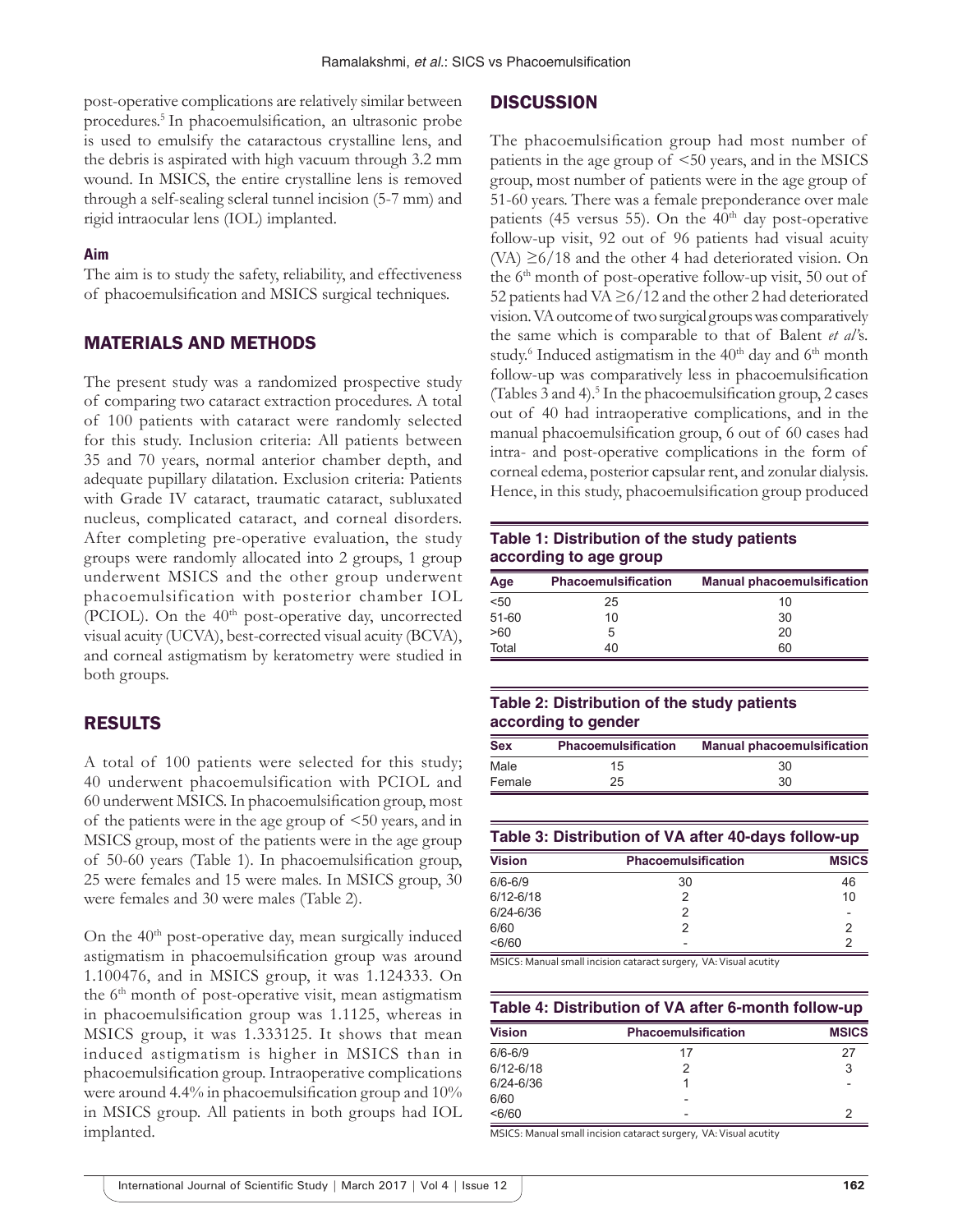post-operative complications are relatively similar between procedures.5 In phacoemulsification, an ultrasonic probe is used to emulsify the cataractous crystalline lens, and the debris is aspirated with high vacuum through 3.2 mm wound. In MSICS, the entire crystalline lens is removed through a self-sealing scleral tunnel incision (5-7 mm) and rigid intraocular lens (IOL) implanted.

#### **Aim**

The aim is to study the safety, reliability, and effectiveness of phacoemulsification and MSICS surgical techniques.

## MATERIALS AND METHODS

The present study was a randomized prospective study of comparing two cataract extraction procedures. A total of 100 patients with cataract were randomly selected for this study. Inclusion criteria: All patients between 35 and 70 years, normal anterior chamber depth, and adequate pupillary dilatation. Exclusion criteria: Patients with Grade IV cataract, traumatic cataract, subluxated nucleus, complicated cataract, and corneal disorders. After completing pre-operative evaluation, the study groups were randomly allocated into 2 groups, 1 group underwent MSICS and the other group underwent phacoemulsification with posterior chamber IOL (PCIOL). On the 40<sup>th</sup> post-operative day, uncorrected visual acuity (UCVA), best-corrected visual acuity (BCVA), and corneal astigmatism by keratometry were studied in both groups.

#### RESULTS

A total of 100 patients were selected for this study; 40 underwent phacoemulsification with PCIOL and 60 underwent MSICS. In phacoemulsification group, most of the patients were in the age group of <50 years, and in MSICS group, most of the patients were in the age group of 50-60 years (Table 1). In phacoemulsification group, 25 were females and 15 were males. In MSICS group, 30 were females and 30 were males (Table 2).

On the 40<sup>th</sup> post-operative day, mean surgically induced astigmatism in phacoemulsification group was around 1.100476, and in MSICS group, it was 1.124333. On the  $6<sup>th</sup>$  month of post-operative visit, mean astigmatism in phacoemulsification group was 1.1125, whereas in MSICS group, it was 1.333125. It shows that mean induced astigmatism is higher in MSICS than in phacoemulsification group. Intraoperative complications were around 4.4% in phacoemulsification group and 10% in MSICS group. All patients in both groups had IOL implanted.

## **DISCUSSION**

The phacoemulsification group had most number of patients in the age group of <50 years, and in the MSICS group, most number of patients were in the age group of 51-60 years. There was a female preponderance over male patients (45 versus 55). On the  $40<sup>th</sup>$  day post-operative follow-up visit, 92 out of 96 patients had visual acuity (VA)  $\geq 6/18$  and the other 4 had deteriorated vision. On the  $6<sup>th</sup>$  month of post-operative follow-up visit, 50 out of 52 patients had VA  $\geq$  6/12 and the other 2 had deteriorated vision. VA outcome of two surgical groups was comparatively the same which is comparable to that of Balent *et al'*s*.* study.<sup>6</sup> Induced astigmatism in the 40<sup>th</sup> day and 6<sup>th</sup> month follow-up was comparatively less in phacoemulsification (Tables 3 and 4).<sup>5</sup> In the phacoemulsification group, 2 cases out of 40 had intraoperative complications, and in the manual phacoemulsification group, 6 out of 60 cases had intra- and post-operative complications in the form of corneal edema, posterior capsular rent, and zonular dialysis. Hence, in this study, phacoemulsification group produced

### **Table 1: Distribution of the study patients according to age group**

| Age   | <b>Phacoemulsification</b> | <b>Manual phacoemulsification</b> |
|-------|----------------------------|-----------------------------------|
| $50$  | 25                         | 10                                |
| 51-60 | 10                         | 30                                |
| >60   | 5                          | 20                                |
| Total | 40                         | 60                                |

#### **Table 2: Distribution of the study patients according to gender**

| <b>Sex</b> | <b>Phacoemulsification</b> | <b>Manual phacoemulsification</b> |
|------------|----------------------------|-----------------------------------|
| Male       | 15                         | 30                                |
| Female     | 25                         | 30                                |

#### **Table 3: Distribution of VA after 40-days follow-up**

| <b>Vision</b> | <b>Phacoemulsification</b> | <b>MSICS</b> |
|---------------|----------------------------|--------------|
| $6/6 - 6/9$   | 30                         | 46           |
| $6/12 - 6/18$ |                            | 10           |
| $6/24 - 6/36$ |                            |              |
| 6/60          |                            |              |
| < 6/60        | $\overline{\phantom{0}}$   |              |

MSICS: Manual small incision cataract surgery, VA: Visual acutity

#### **Table 4: Distribution of VA after 6-month follow-up**

| <b>Vision</b> | <b>Phacoemulsification</b> | <b>MSICS</b> |
|---------------|----------------------------|--------------|
| $6/6 - 6/9$   | 17                         | 27           |
| $6/12 - 6/18$ |                            |              |
| 6/24-6/36     |                            |              |
| 6/60          |                            |              |
| < 6/60        | $\overline{\phantom{a}}$   |              |

MSICS: Manual small incision cataract surgery, VA: Visual acutity